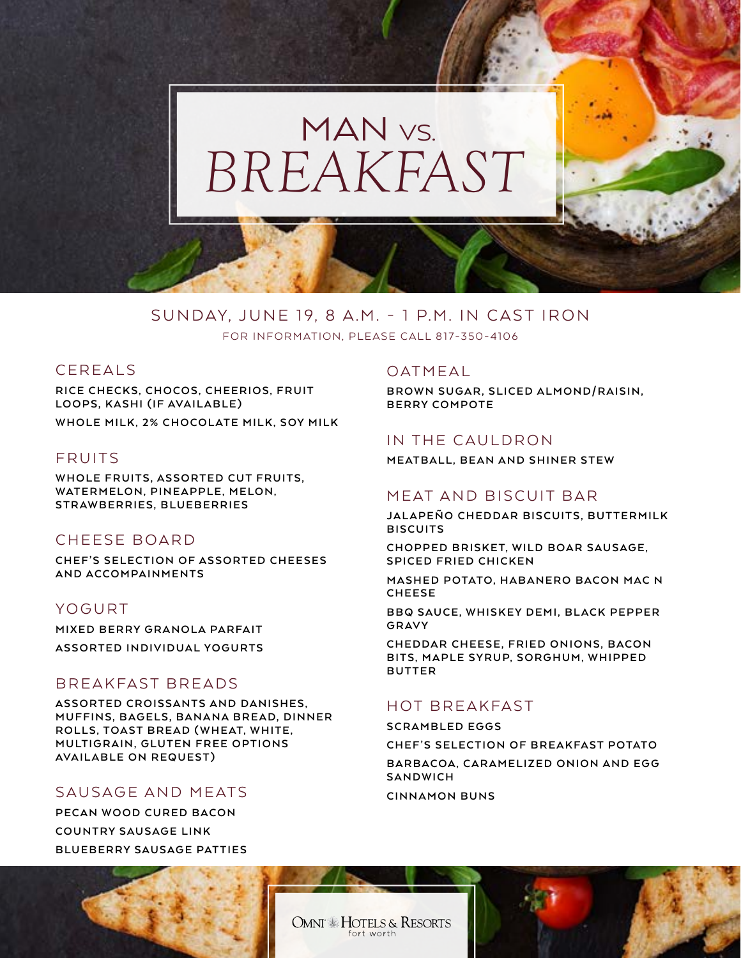## *BREAKFAST* MAN<sub>VS.</sub>

#### SUNDAY, JUNE 19, 8 A.M. - 1 P.M. IN CAST IRON FOR INFORMATION, PLEASE CALL 817-350-4106

#### CEREALS

**RICE CHECKS, CHOCOS, CHEERIOS, FRUIT LOOPS, KASHI (IF AVAILABLE) WHOLE MILK, 2% CHOCOLATE MILK, SOY MILK**

#### FRUITS

WHOLE FRUITS, ASSORTED CUT FRUITS, WATERMELON, PINEAPPLE, MELON, **STRAWBERRIES, BLUEBERRIES**

#### CHEESE BOARD

**CHEF'S SELECTION OF ASSORTED CHEESES AND ACCOMPAINMENTS**

#### YOGURT

**MIXED BERRY GRANOLA PARFAIT ASSORTED INDIVIDUAL YOGURTS**

#### BREAKFAST BREADS

**ASSORTED CROISSANTS AND DANISHES, MUFFINS, BAGELS, BANANA BREAD, DINNER** ROLLS, TOAST BREAD (WHEAT, WHITE, **MULTIGRAIN, GLUTEN FREE OPTIONS AVAILABLE ON REQUEST)** 

## SAUSAGE AND MEATS

**PECAN WOOD CURED BACON COUNTRY SAUSAGE LINK BLUEBERRY SAUSAGE PATTIES** 

#### OATMEAL

**BROWN SUGAR, SLICED ALMOND/RAISIN, BERRY COMPOTE**

#### IN THE CAULDRON

**MEATBALL, BEAN AND SHINER STEW**

#### MEAT AND BISCUIT BAR

**JALAPEÑO CHEDDAR BISCUITS, BUTTERMILK B I S C U I T S** 

**CHOPPED BRISKET, WILD BOAR SAUSAGE, SPICED FRIED CHICKEN** 

**MASHED POTATO, HABANERO BACON MAC N C H E E S E** 

**BBQ SAUCE, WHISKEY DEMI, BLACK PEPPER G R AV Y** 

**CHEDDAR CHEESE, FRIED ONIONS, BACON BITS, MAPLE SYRUP, SORGHUM, WHIPPED B U T T E R** 

## HOT BREAKFAST

**SCRAMBLED EGGS**

**CHEF'S SELECTION OF BREAKFAST POTATO** BARBACOA, CARAMELIZED ONION AND EGG

**SANDWICH**

**CINNAMON BUNS**

OMNI – HOTELS & RESORTS fort worth